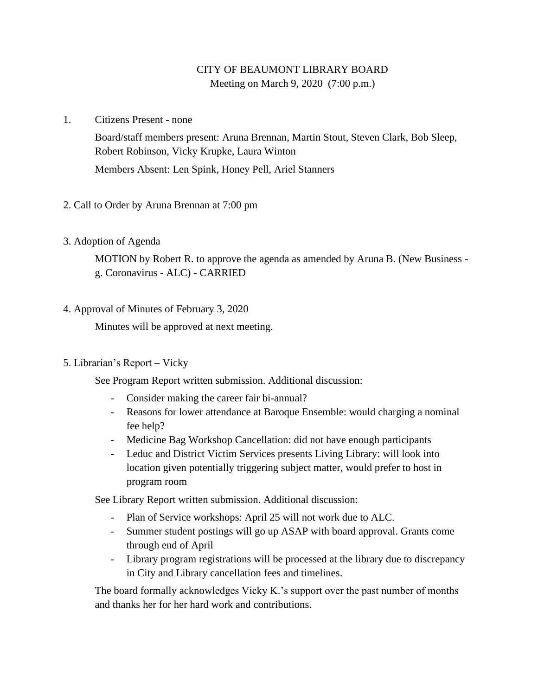# CITY OF BEAUMONT LIBRARY BOARD Meeting on March 9, 2020 (7:00 p.m.)

1. Citizens Present - none

Board/staff members present: Aruna Brennan, Martin Stout, Steven Clark, Bob Sleep, Robert Robinson, Vicky Krupke, Laura Winton Members Absent: Len Spink, Honey Pell, Ariel Stanners

- 2. Call to Order by Aruna Brennan at 7:00 pm
- 3. Adoption of Agenda

MOTION by Robert R. to approve the agenda as amended by Aruna B. (New Business g. Coronavirus - ALC) - CARRIED

4. Approval of Minutes of February 3, 2020

Minutes will be approved at next meeting.

5. Librarian's Report – Vicky

See Program Report written submission. Additional discussion:

- Consider making the career fair bi-annual?
- Reasons for lower attendance at Baroque Ensemble: would charging a nominal fee help?
- Medicine Bag Workshop Cancellation: did not have enough participants
- Leduc and District Victim Services presents Living Library: will look into location given potentially triggering subject matter, would prefer to host in program room

See Library Report written submission. Additional discussion:

- Plan of Service workshops: April 25 will not work due to ALC.
- Summer student postings will go up ASAP with board approval. Grants come through end of April
- Library program registrations will be processed at the library due to discrepancy in City and Library cancellation fees and timelines.

The board formally acknowledges Vicky K.'s support over the past number of months and thanks her for her hard work and contributions.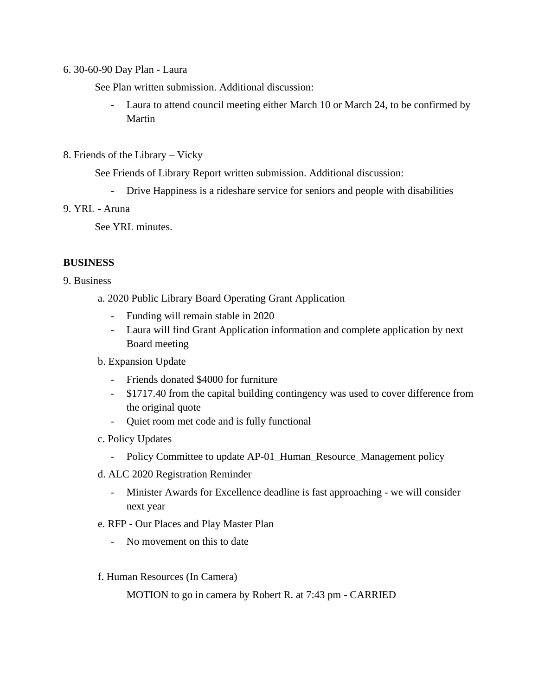#### 6. 30-60-90 Day Plan - Laura

See Plan written submission. Additional discussion:

- Laura to attend council meeting either March 10 or March 24, to be confirmed by Martin
- 8. Friends of the Library Vicky

See Friends of Library Report written submission. Additional discussion:

- Drive Happiness is a rideshare service for seniors and people with disabilities

## 9. YRL - Aruna

See YRL minutes.

### **BUSINESS**

### 9. Business

- a. 2020 Public Library Board Operating Grant Application
	- Funding will remain stable in 2020
	- Laura will find Grant Application information and complete application by next Board meeting

#### b. Expansion Update

- Friends donated \$4000 for furniture
- \$1717.40 from the capital building contingency was used to cover difference from the original quote
- Quiet room met code and is fully functional
- c. Policy Updates
	- Policy Committee to update AP-01\_Human\_Resource\_Management policy
- d. ALC 2020 Registration Reminder
	- Minister Awards for Excellence deadline is fast approaching we will consider next year
- e. RFP Our Places and Play Master Plan
	- No movement on this to date
- f. Human Resources (In Camera)

MOTION to go in camera by Robert R. at 7:43 pm - CARRIED